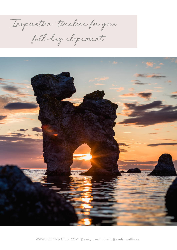Inspiration timeline for your full-day elopement



WWW.EVELYNWALLIN.COM @evelyn.wallin hello@evelynwallin.se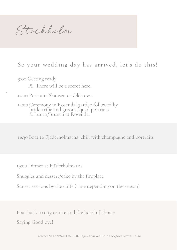Sto ckho lm

## So your wedding day has arrived, let's do this!

9:00 Getting ready PS. There will be a secret here.

.

12:00 Portraits Skansen or Old town

14:00 Ceremony in Rosendal garden followed by bride-tribe and groom-squad portraits & Lunch/Brunch at Rosendal

16.30 Boat to Fjäderholmarna, chill with champagne and portraits

19:00 Dinner at Fjäderholmarna

Snuggles and dessert/cake by the fireplace

Sunset sessions by the cliffs (time depending on the season)

Boat back to city centre and the hotel of choice Saying Good bye!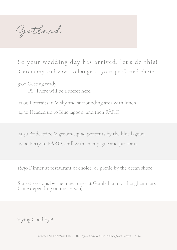Gotland

So your wedding day has arrived, let's do this! Ceremony and vow exchange at your preferred choice.

9:00 Getting ready

PS. There will be a secret here.

12:00 Portraits in Visby and surrounding area with lunch 14:30 Headed up to Blue lagoon, and then FÅRÖ

15:30 Bride-tribe & groom-squad portraits by the blue lagoon 17:00 Ferry to FÅRÖ, chill with champagne and portraits

18:30 Dinner at restaurant of choice, or picnic by the ocean shore

Sunset sessions by the limestones at Gamle hamn or Langhammars (time depending on the season)

Saying Good bye!